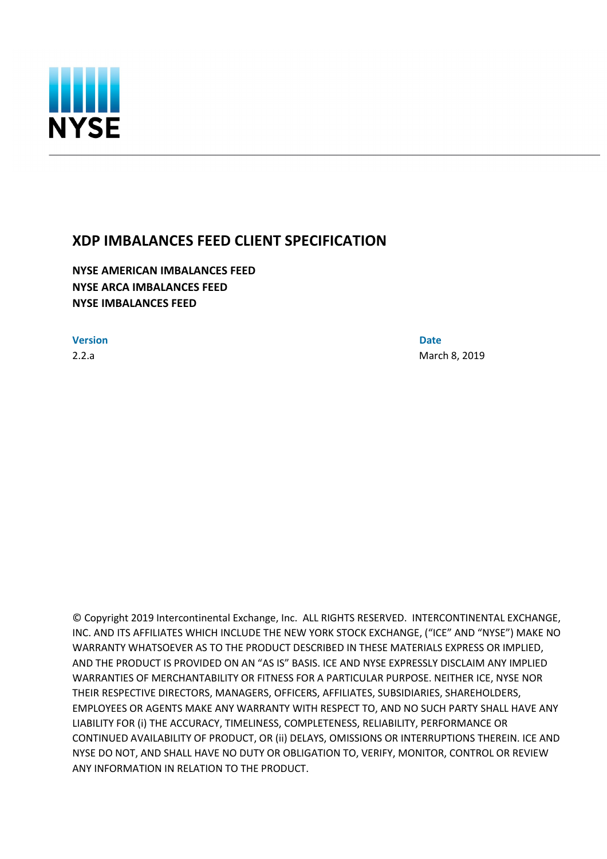

# **XDP IMBALANCES FEED CLIENT SPECIFICATION**

**NYSE AMERICAN IMBALANCES FEED NYSE ARCA IMBALANCES FEED NYSE IMBALANCES FEED**

**Version Date**

2.2.a March 8, 2019

© Copyright 2019 Intercontinental Exchange, Inc. ALL RIGHTS RESERVED. INTERCONTINENTAL EXCHANGE, INC. AND ITS AFFILIATES WHICH INCLUDE THE NEW YORK STOCK EXCHANGE, ("ICE" AND "NYSE") MAKE NO WARRANTY WHATSOEVER AS TO THE PRODUCT DESCRIBED IN THESE MATERIALS EXPRESS OR IMPLIED, AND THE PRODUCT IS PROVIDED ON AN "AS IS" BASIS. ICE AND NYSE EXPRESSLY DISCLAIM ANY IMPLIED WARRANTIES OF MERCHANTABILITY OR FITNESS FOR A PARTICULAR PURPOSE. NEITHER ICE, NYSE NOR THEIR RESPECTIVE DIRECTORS, MANAGERS, OFFICERS, AFFILIATES, SUBSIDIARIES, SHAREHOLDERS, EMPLOYEES OR AGENTS MAKE ANY WARRANTY WITH RESPECT TO, AND NO SUCH PARTY SHALL HAVE ANY LIABILITY FOR (i) THE ACCURACY, TIMELINESS, COMPLETENESS, RELIABILITY, PERFORMANCE OR CONTINUED AVAILABILITY OF PRODUCT, OR (ii) DELAYS, OMISSIONS OR INTERRUPTIONS THEREIN. ICE AND NYSE DO NOT, AND SHALL HAVE NO DUTY OR OBLIGATION TO, VERIFY, MONITOR, CONTROL OR REVIEW ANY INFORMATION IN RELATION TO THE PRODUCT.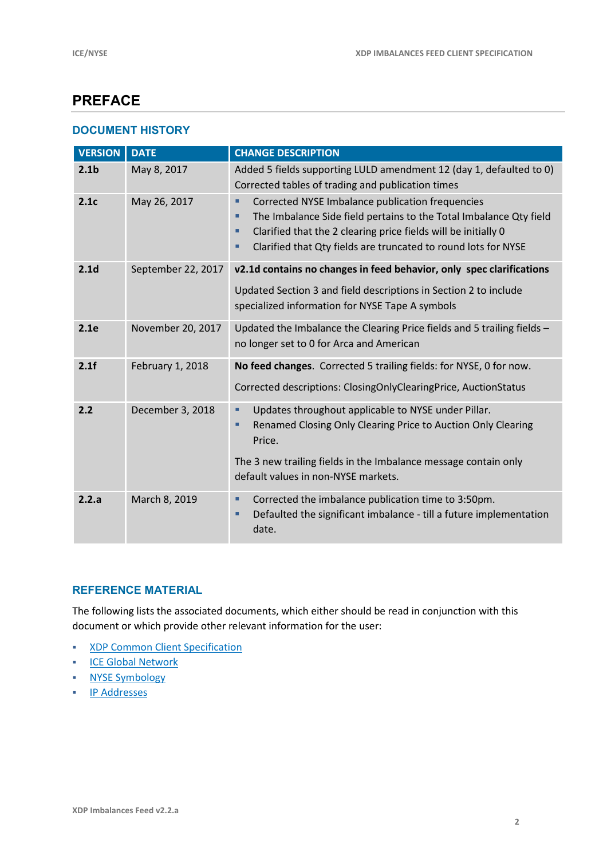# **PREFACE**

#### **DOCUMENT HISTORY**

| <b>VERSION</b>   | <b>DATE</b>        | <b>CHANGE DESCRIPTION</b>                                                                                                                                                                                                                                            |
|------------------|--------------------|----------------------------------------------------------------------------------------------------------------------------------------------------------------------------------------------------------------------------------------------------------------------|
| 2.1 <sub>b</sub> | May 8, 2017        | Added 5 fields supporting LULD amendment 12 (day 1, defaulted to 0)<br>Corrected tables of trading and publication times                                                                                                                                             |
| 2.1c             | May 26, 2017       | Corrected NYSE Imbalance publication frequencies<br>٠<br>The Imbalance Side field pertains to the Total Imbalance Qty field<br>Clarified that the 2 clearing price fields will be initially 0<br>■<br>Clarified that Qty fields are truncated to round lots for NYSE |
| 2.1 <sub>d</sub> | September 22, 2017 | v2.1d contains no changes in feed behavior, only spec clarifications<br>Updated Section 3 and field descriptions in Section 2 to include<br>specialized information for NYSE Tape A symbols                                                                          |
| 2.1e             | November 20, 2017  | Updated the Imbalance the Clearing Price fields and 5 trailing fields -<br>no longer set to 0 for Arca and American                                                                                                                                                  |
| 2.1f             | February 1, 2018   | No feed changes. Corrected 5 trailing fields: for NYSE, 0 for now.<br>Corrected descriptions: ClosingOnlyClearingPrice, AuctionStatus                                                                                                                                |
| 2.2              | December 3, 2018   | Updates throughout applicable to NYSE under Pillar.<br>٠<br>Renamed Closing Only Clearing Price to Auction Only Clearing<br>Ξ<br>Price.<br>The 3 new trailing fields in the Imbalance message contain only<br>default values in non-NYSE markets.                    |
| 2.2.a            | March 8, 2019      | Corrected the imbalance publication time to 3:50pm.<br>٠<br>Defaulted the significant imbalance - till a future implementation<br>date.                                                                                                                              |

### **REFERENCE MATERIAL**

The following lists the associated documents, which either should be read in conjunction with this document or which provide other relevant information for the user:

- **KDP Common Client Specification**
- **ICE Global Network**
- **NYSE Symbology**
- **IP Addresses**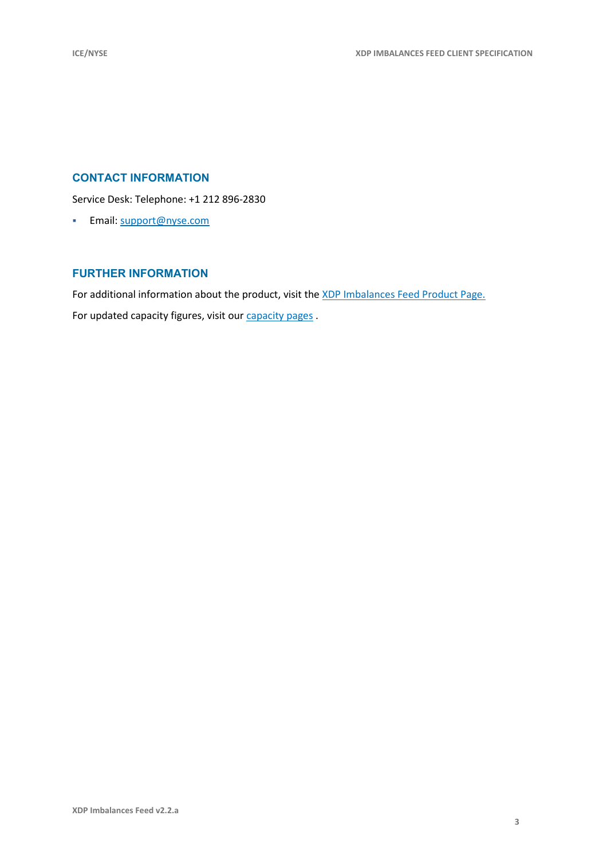### **CONTACT INFORMATION**

Service Desk: Telephone: +1 212 896-2830

**Email:** support@nyse.com

#### **FURTHER INFORMATION**

For additional information about the product, visit the XDP Imbalances Feed Product Page. For updated capacity figures, visit our capacity pages.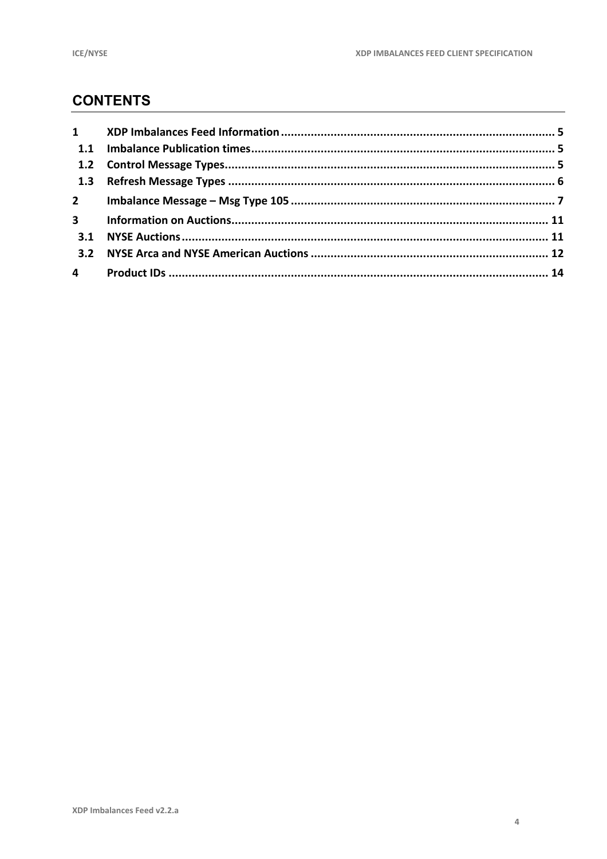# **CONTENTS**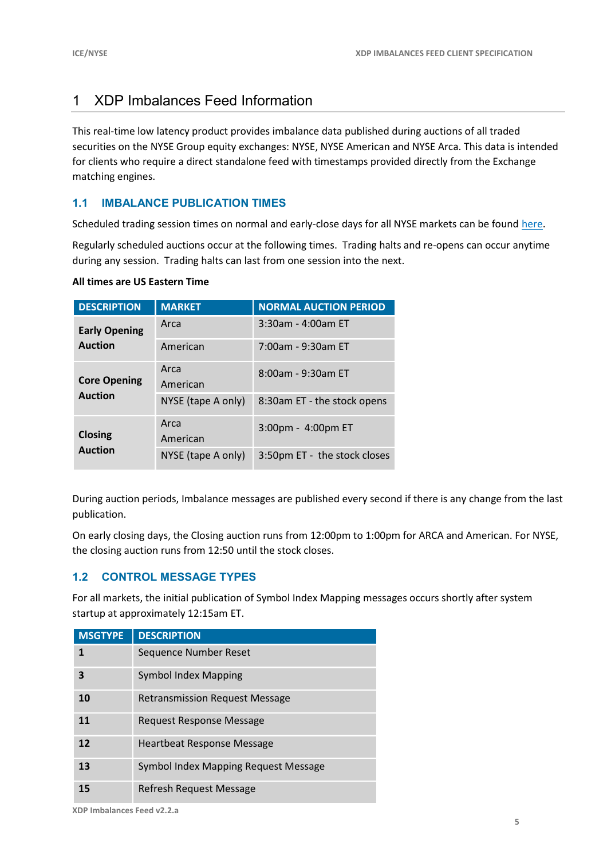# 1 XDP Imbalances Feed Information

This real-time low latency product provides imbalance data published during auctions of all traded securities on the NYSE Group equity exchanges: NYSE, NYSE American and NYSE Arca. This data is intended for clients who require a direct standalone feed with timestamps provided directly from the Exchange matching engines.

### **1.1 IMBALANCE PUBLICATION TIMES**

Scheduled trading session times on normal and early-close days for all NYSE markets can be found here.

Regularly scheduled auctions occur at the following times. Trading halts and re-opens can occur anytime during any session. Trading halts can last from one session into the next.

#### **All times are US Eastern Time**

| <b>DESCRIPTION</b>   | <b>MARKET</b>      | <b>NORMAL AUCTION PERIOD</b> |
|----------------------|--------------------|------------------------------|
| <b>Early Opening</b> | Arca               | 3:30am - 4:00am ET           |
| <b>Auction</b>       | American           | 7:00am - 9:30am ET           |
| <b>Core Opening</b>  | Arca<br>American   | 8:00am - 9:30am ET           |
| <b>Auction</b>       | NYSE (tape A only) | 8:30am ET - the stock opens  |
| <b>Closing</b>       | Arca<br>American   | 3:00pm - 4:00pm ET           |
| <b>Auction</b>       | NYSE (tape A only) | 3:50pm ET - the stock closes |

During auction periods, Imbalance messages are published every second if there is any change from the last publication.

On early closing days, the Closing auction runs from 12:00pm to 1:00pm for ARCA and American. For NYSE, the closing auction runs from 12:50 until the stock closes.

#### **1.2 CONTROL MESSAGE TYPES**

For all markets, the initial publication of Symbol Index Mapping messages occurs shortly after system startup at approximately 12:15am ET.

| <b>MSGTYPE</b> | <b>DESCRIPTION</b>                    |
|----------------|---------------------------------------|
| 1              | Sequence Number Reset                 |
| 3              | <b>Symbol Index Mapping</b>           |
| 10             | <b>Retransmission Request Message</b> |
| 11             | Request Response Message              |
| 12             | <b>Heartbeat Response Message</b>     |
| 13             | Symbol Index Mapping Request Message  |
| 15             | Refresh Request Message               |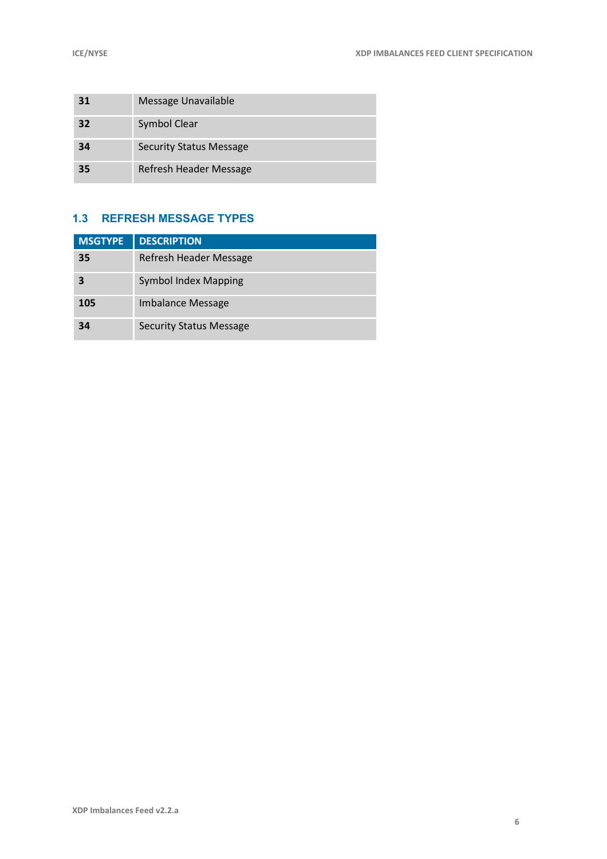| 31 | Message Unavailable            |
|----|--------------------------------|
| 32 | Symbol Clear                   |
| 34 | <b>Security Status Message</b> |
| 35 | Refresh Header Message         |

### **1.3 REFRESH MESSAGE TYPES**

| <b>MSGTYPE</b> | <b>DESCRIPTION</b>             |
|----------------|--------------------------------|
| 35             | Refresh Header Message         |
|                | <b>Symbol Index Mapping</b>    |
| 105            | Imbalance Message              |
| 34             | <b>Security Status Message</b> |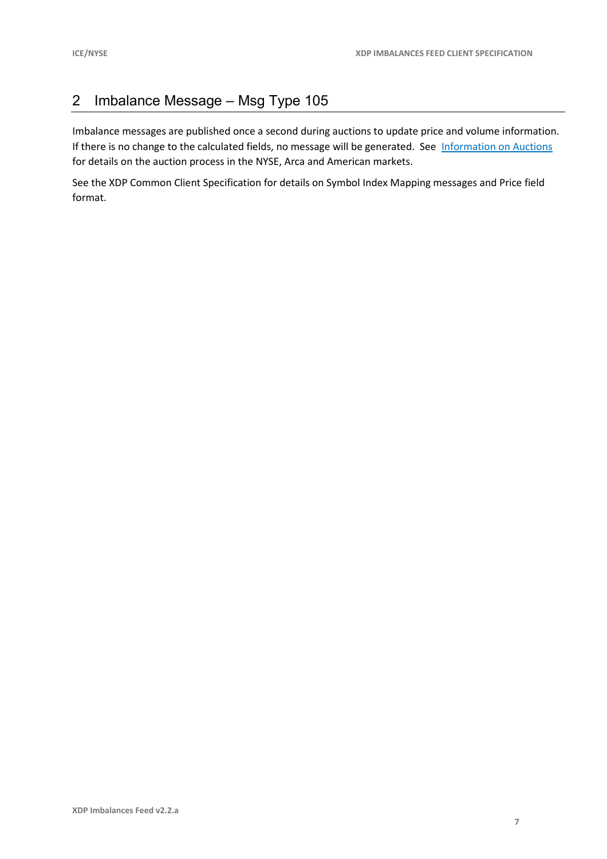## 2 Imbalance Message – Msg Type 105

Imbalance messages are published once a second during auctions to update price and volume information. If there is no change to the calculated fields, no message will be generated. See Information on Auctions for details on the auction process in the NYSE, Arca and American markets.

See the XDP Common Client Specification for details on Symbol Index Mapping messages and Price field format.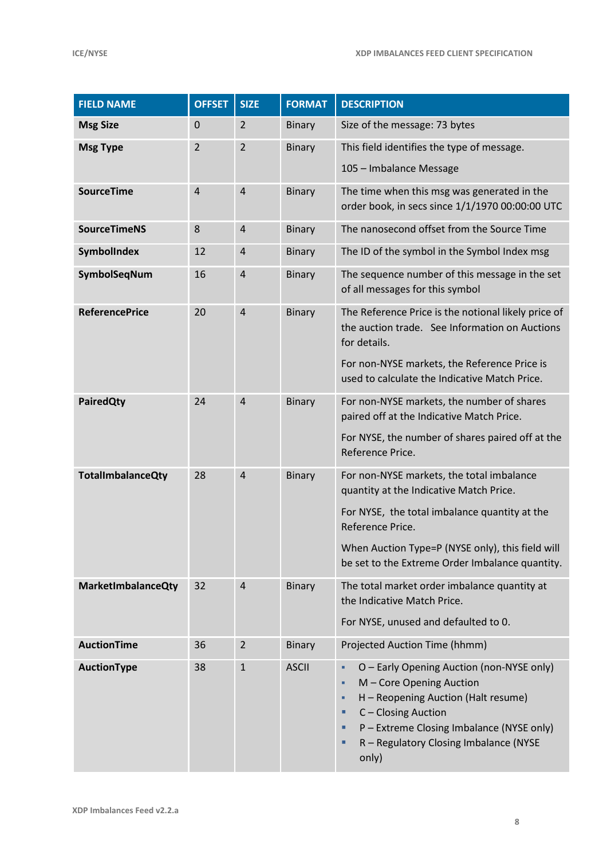| <b>FIELD NAME</b>         | <b>OFFSET</b>  | <b>SIZE</b>    | <b>FORMAT</b> | <b>DESCRIPTION</b>                                                                                                                                                                                                                                                |
|---------------------------|----------------|----------------|---------------|-------------------------------------------------------------------------------------------------------------------------------------------------------------------------------------------------------------------------------------------------------------------|
| <b>Msg Size</b>           | $\mathbf 0$    | $\overline{2}$ | <b>Binary</b> | Size of the message: 73 bytes                                                                                                                                                                                                                                     |
| <b>Msg Type</b>           | $\overline{2}$ | $\overline{2}$ | <b>Binary</b> | This field identifies the type of message.                                                                                                                                                                                                                        |
|                           |                |                |               | 105 - Imbalance Message                                                                                                                                                                                                                                           |
| <b>SourceTime</b>         | $\overline{4}$ | $\overline{4}$ | <b>Binary</b> | The time when this msg was generated in the<br>order book, in secs since 1/1/1970 00:00:00 UTC                                                                                                                                                                    |
| <b>SourceTimeNS</b>       | 8              | $\overline{4}$ | Binary        | The nanosecond offset from the Source Time                                                                                                                                                                                                                        |
| SymbolIndex               | 12             | $\overline{a}$ | <b>Binary</b> | The ID of the symbol in the Symbol Index msg                                                                                                                                                                                                                      |
| SymbolSeqNum              | 16             | $\overline{4}$ | <b>Binary</b> | The sequence number of this message in the set<br>of all messages for this symbol                                                                                                                                                                                 |
| <b>ReferencePrice</b>     | 20             | $\overline{4}$ | <b>Binary</b> | The Reference Price is the notional likely price of<br>the auction trade. See Information on Auctions<br>for details.                                                                                                                                             |
|                           |                |                |               | For non-NYSE markets, the Reference Price is<br>used to calculate the Indicative Match Price.                                                                                                                                                                     |
| <b>PairedQty</b>          | 24             | $\overline{4}$ | <b>Binary</b> | For non-NYSE markets, the number of shares<br>paired off at the Indicative Match Price.                                                                                                                                                                           |
|                           |                |                |               | For NYSE, the number of shares paired off at the<br>Reference Price.                                                                                                                                                                                              |
| <b>TotalImbalanceQty</b>  | 28             | $\overline{4}$ | <b>Binary</b> | For non-NYSE markets, the total imbalance<br>quantity at the Indicative Match Price.                                                                                                                                                                              |
|                           |                |                |               | For NYSE, the total imbalance quantity at the<br>Reference Price.                                                                                                                                                                                                 |
|                           |                |                |               | When Auction Type=P (NYSE only), this field will<br>be set to the Extreme Order Imbalance quantity.                                                                                                                                                               |
| <b>MarketImbalanceQty</b> | 32             | $\overline{4}$ | <b>Binary</b> | The total market order imbalance quantity at<br>the Indicative Match Price.                                                                                                                                                                                       |
|                           |                |                |               | For NYSE, unused and defaulted to 0.                                                                                                                                                                                                                              |
| <b>AuctionTime</b>        | 36             | $\overline{2}$ | <b>Binary</b> | Projected Auction Time (hhmm)                                                                                                                                                                                                                                     |
| AuctionType               | 38             | $\mathbf 1$    | <b>ASCII</b>  | O - Early Opening Auction (non-NYSE only)<br>٠<br>M - Core Opening Auction<br>٠<br>H - Reopening Auction (Halt resume)<br>٠<br>C - Closing Auction<br>٠<br>P - Extreme Closing Imbalance (NYSE only)<br>п<br>R - Regulatory Closing Imbalance (NYSE<br>٠<br>only) |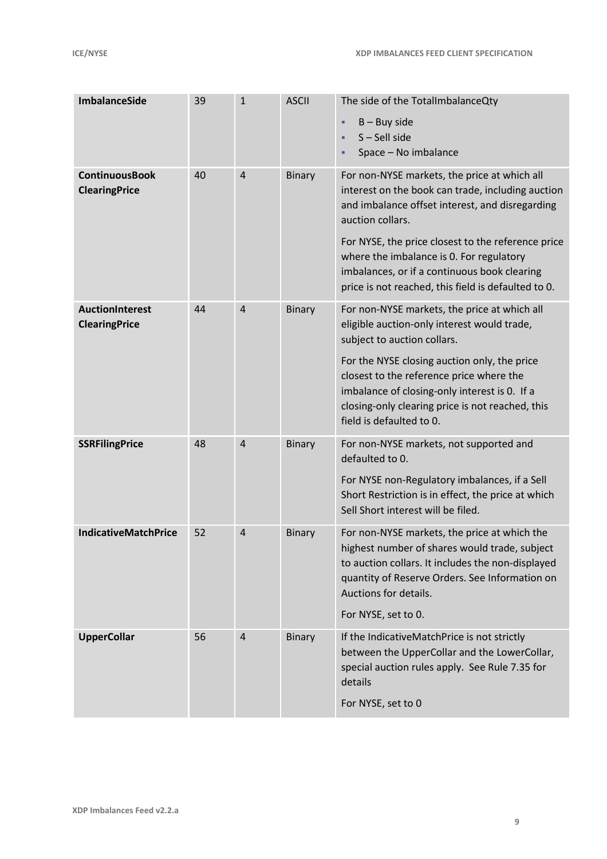| <b>ImbalanceSide</b>                          | 39 | $\mathbf{1}$   | <b>ASCII</b>  | The side of the TotalImbalanceQty<br>$B - Buy$ side<br>٠<br>$S -$ Sell side<br>Space - No imbalance                                                                                                                                                                                                                                                                               |
|-----------------------------------------------|----|----------------|---------------|-----------------------------------------------------------------------------------------------------------------------------------------------------------------------------------------------------------------------------------------------------------------------------------------------------------------------------------------------------------------------------------|
| <b>ContinuousBook</b><br><b>ClearingPrice</b> | 40 | $\overline{4}$ | <b>Binary</b> | For non-NYSE markets, the price at which all<br>interest on the book can trade, including auction<br>and imbalance offset interest, and disregarding<br>auction collars.<br>For NYSE, the price closest to the reference price<br>where the imbalance is 0. For regulatory<br>imbalances, or if a continuous book clearing<br>price is not reached, this field is defaulted to 0. |
| AuctionInterest<br><b>ClearingPrice</b>       | 44 | $\overline{4}$ | <b>Binary</b> | For non-NYSE markets, the price at which all<br>eligible auction-only interest would trade,<br>subject to auction collars.<br>For the NYSE closing auction only, the price<br>closest to the reference price where the<br>imbalance of closing-only interest is 0. If a<br>closing-only clearing price is not reached, this<br>field is defaulted to 0.                           |
| <b>SSRFilingPrice</b>                         | 48 | $\overline{4}$ | <b>Binary</b> | For non-NYSE markets, not supported and<br>defaulted to 0.<br>For NYSE non-Regulatory imbalances, if a Sell<br>Short Restriction is in effect, the price at which<br>Sell Short interest will be filed.                                                                                                                                                                           |
| <b>IndicativeMatchPrice</b>                   | 52 | $\overline{4}$ | <b>Binary</b> | For non-NYSE markets, the price at which the<br>highest number of shares would trade, subject<br>to auction collars. It includes the non-displayed<br>quantity of Reserve Orders. See Information on<br>Auctions for details.<br>For NYSE, set to 0.                                                                                                                              |
| <b>UpperCollar</b>                            | 56 | $\overline{4}$ | <b>Binary</b> | If the IndicativeMatchPrice is not strictly<br>between the UpperCollar and the LowerCollar,<br>special auction rules apply. See Rule 7.35 for<br>details<br>For NYSE, set to 0                                                                                                                                                                                                    |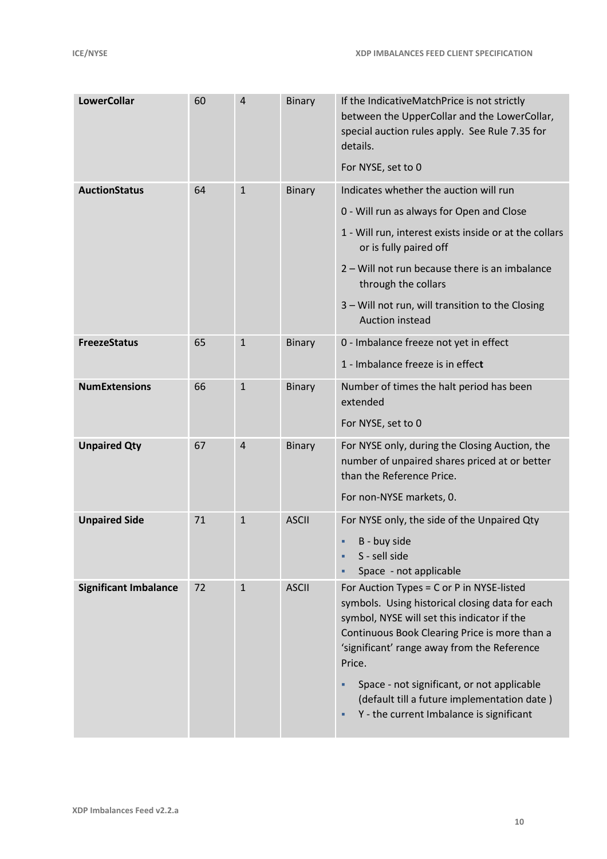| <b>LowerCollar</b>           | 60 | $\overline{4}$ | Binary        | If the IndicativeMatchPrice is not strictly<br>between the UpperCollar and the LowerCollar,<br>special auction rules apply. See Rule 7.35 for<br>details.<br>For NYSE, set to 0                                                                                                                                                                                                                |
|------------------------------|----|----------------|---------------|------------------------------------------------------------------------------------------------------------------------------------------------------------------------------------------------------------------------------------------------------------------------------------------------------------------------------------------------------------------------------------------------|
| <b>AuctionStatus</b>         | 64 | $\mathbf{1}$   | Binary        | Indicates whether the auction will run<br>0 - Will run as always for Open and Close<br>1 - Will run, interest exists inside or at the collars<br>or is fully paired off<br>2 - Will not run because there is an imbalance<br>through the collars<br>3 - Will not run, will transition to the Closing<br><b>Auction instead</b>                                                                 |
| <b>FreezeStatus</b>          | 65 | $\mathbf{1}$   | <b>Binary</b> | 0 - Imbalance freeze not yet in effect<br>1 - Imbalance freeze is in effect                                                                                                                                                                                                                                                                                                                    |
| <b>NumExtensions</b>         | 66 | $\mathbf{1}$   | <b>Binary</b> | Number of times the halt period has been<br>extended<br>For NYSE, set to 0                                                                                                                                                                                                                                                                                                                     |
| <b>Unpaired Qty</b>          | 67 | $\overline{4}$ | Binary        | For NYSE only, during the Closing Auction, the<br>number of unpaired shares priced at or better<br>than the Reference Price.<br>For non-NYSE markets, 0.                                                                                                                                                                                                                                       |
| <b>Unpaired Side</b>         | 71 | $\mathbf{1}$   | <b>ASCII</b>  | For NYSE only, the side of the Unpaired Qty<br>B - buy side<br>٠<br>S - sell side<br>Space - not applicable                                                                                                                                                                                                                                                                                    |
| <b>Significant Imbalance</b> | 72 | $\mathbf{1}$   | <b>ASCII</b>  | For Auction Types = C or P in NYSE-listed<br>symbols. Using historical closing data for each<br>symbol, NYSE will set this indicator if the<br>Continuous Book Clearing Price is more than a<br>'significant' range away from the Reference<br>Price.<br>Space - not significant, or not applicable<br>(default till a future implementation date)<br>Y - the current Imbalance is significant |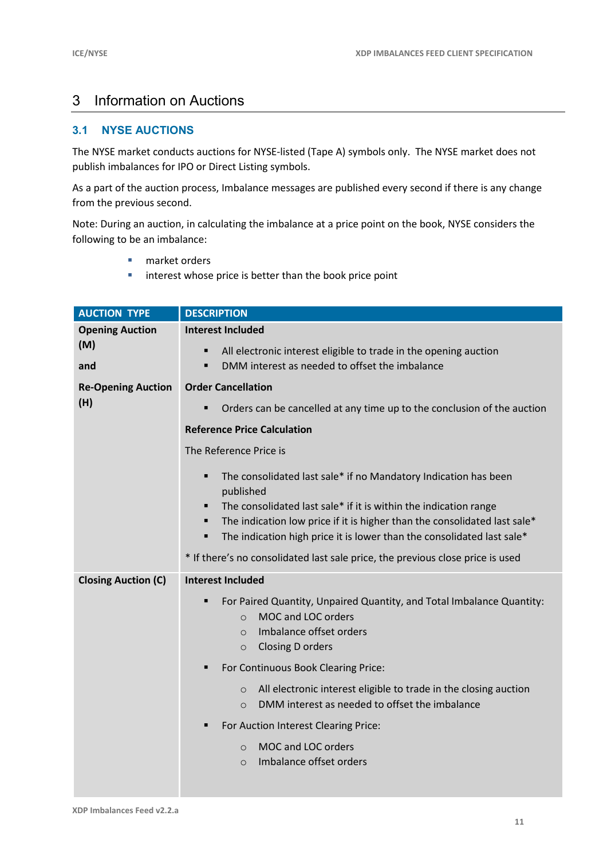### 3 Information on Auctions

### **3.1 NYSE AUCTIONS**

The NYSE market conducts auctions for NYSE-listed (Tape A) symbols only. The NYSE market does not publish imbalances for IPO or Direct Listing symbols.

As a part of the auction process, Imbalance messages are published every second if there is any change from the previous second.

Note: During an auction, in calculating the imbalance at a price point on the book, NYSE considers the following to be an imbalance:

- **market orders**
- **I** interest whose price is better than the book price point

| <b>AUCTION TYPE</b>              | <b>DESCRIPTION</b>                                                                                                                                            |  |  |  |  |  |
|----------------------------------|---------------------------------------------------------------------------------------------------------------------------------------------------------------|--|--|--|--|--|
| <b>Opening Auction</b>           | <b>Interest Included</b>                                                                                                                                      |  |  |  |  |  |
| (M)<br>and                       | All electronic interest eligible to trade in the opening auction<br>٠<br>DMM interest as needed to offset the imbalance<br>п                                  |  |  |  |  |  |
|                                  |                                                                                                                                                               |  |  |  |  |  |
| <b>Re-Opening Auction</b><br>(H) | <b>Order Cancellation</b>                                                                                                                                     |  |  |  |  |  |
|                                  | Orders can be cancelled at any time up to the conclusion of the auction                                                                                       |  |  |  |  |  |
|                                  | <b>Reference Price Calculation</b>                                                                                                                            |  |  |  |  |  |
|                                  | The Reference Price is                                                                                                                                        |  |  |  |  |  |
|                                  | The consolidated last sale* if no Mandatory Indication has been<br>٠<br>published                                                                             |  |  |  |  |  |
|                                  | The consolidated last sale* if it is within the indication range<br>п                                                                                         |  |  |  |  |  |
|                                  | The indication low price if it is higher than the consolidated last sale*<br>٠<br>The indication high price it is lower than the consolidated last sale*<br>٠ |  |  |  |  |  |
|                                  | * If there's no consolidated last sale price, the previous close price is used                                                                                |  |  |  |  |  |
| <b>Closing Auction (C)</b>       | <b>Interest Included</b>                                                                                                                                      |  |  |  |  |  |
|                                  | For Paired Quantity, Unpaired Quantity, and Total Imbalance Quantity:<br>п                                                                                    |  |  |  |  |  |
|                                  | MOC and LOC orders<br>$\Omega$<br>Imbalance offset orders                                                                                                     |  |  |  |  |  |
|                                  | $\Omega$<br>Closing D orders<br>$\circ$                                                                                                                       |  |  |  |  |  |
|                                  | For Continuous Book Clearing Price:<br>٠                                                                                                                      |  |  |  |  |  |
|                                  | All electronic interest eligible to trade in the closing auction<br>$\circ$                                                                                   |  |  |  |  |  |
|                                  | DMM interest as needed to offset the imbalance<br>$\circ$                                                                                                     |  |  |  |  |  |
|                                  | For Auction Interest Clearing Price:<br>٠                                                                                                                     |  |  |  |  |  |
|                                  | MOC and LOC orders<br>$\circ$                                                                                                                                 |  |  |  |  |  |
|                                  | Imbalance offset orders<br>$\Omega$                                                                                                                           |  |  |  |  |  |
|                                  |                                                                                                                                                               |  |  |  |  |  |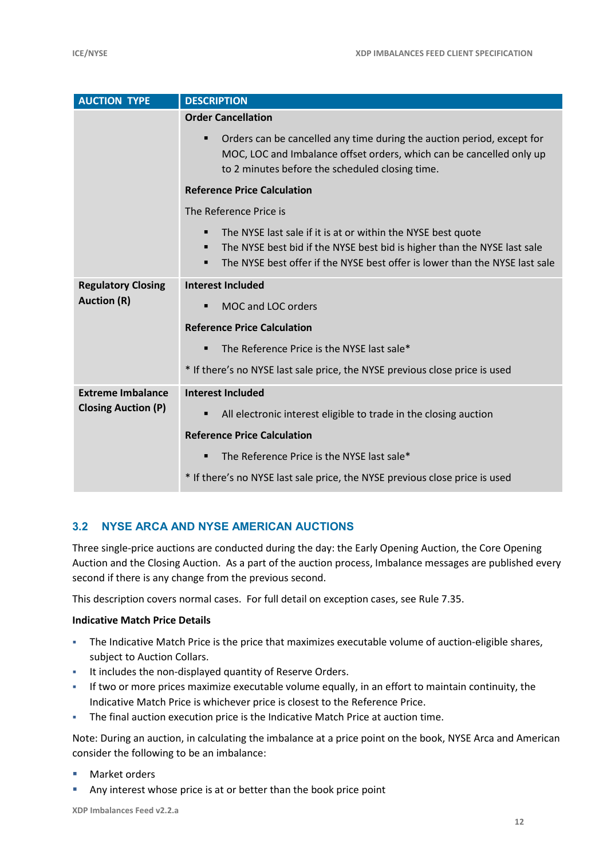| <b>AUCTION TYPE</b>        | <b>DESCRIPTION</b>                                                                                                                                                                                                                                  |  |  |  |  |  |
|----------------------------|-----------------------------------------------------------------------------------------------------------------------------------------------------------------------------------------------------------------------------------------------------|--|--|--|--|--|
|                            | <b>Order Cancellation</b>                                                                                                                                                                                                                           |  |  |  |  |  |
|                            | Orders can be cancelled any time during the auction period, except for<br>п<br>MOC, LOC and Imbalance offset orders, which can be cancelled only up<br>to 2 minutes before the scheduled closing time.                                              |  |  |  |  |  |
|                            | <b>Reference Price Calculation</b>                                                                                                                                                                                                                  |  |  |  |  |  |
|                            | The Reference Price is                                                                                                                                                                                                                              |  |  |  |  |  |
|                            | The NYSE last sale if it is at or within the NYSE best quote<br>٠<br>The NYSE best bid if the NYSE best bid is higher than the NYSE last sale<br>٠<br>The NYSE best offer if the NYSE best offer is lower than the NYSE last sale<br>$\blacksquare$ |  |  |  |  |  |
| <b>Regulatory Closing</b>  | <b>Interest Included</b>                                                                                                                                                                                                                            |  |  |  |  |  |
| <b>Auction (R)</b>         | MOC and LOC orders<br>٠                                                                                                                                                                                                                             |  |  |  |  |  |
|                            | <b>Reference Price Calculation</b>                                                                                                                                                                                                                  |  |  |  |  |  |
|                            | The Reference Price is the NYSE last sale*<br>٠                                                                                                                                                                                                     |  |  |  |  |  |
|                            | * If there's no NYSE last sale price, the NYSE previous close price is used                                                                                                                                                                         |  |  |  |  |  |
| <b>Extreme Imbalance</b>   | <b>Interest Included</b>                                                                                                                                                                                                                            |  |  |  |  |  |
| <b>Closing Auction (P)</b> | All electronic interest eligible to trade in the closing auction<br>٠                                                                                                                                                                               |  |  |  |  |  |
|                            | <b>Reference Price Calculation</b>                                                                                                                                                                                                                  |  |  |  |  |  |
|                            | The Reference Price is the NYSE last sale*<br>٠                                                                                                                                                                                                     |  |  |  |  |  |
|                            | * If there's no NYSE last sale price, the NYSE previous close price is used                                                                                                                                                                         |  |  |  |  |  |

#### **3.2 NYSE ARCA AND NYSE AMERICAN AUCTIONS**

Three single-price auctions are conducted during the day: the Early Opening Auction, the Core Opening Auction and the Closing Auction. As a part of the auction process, Imbalance messages are published every second if there is any change from the previous second.

This description covers normal cases. For full detail on exception cases, see Rule 7.35.

#### **Indicative Match Price Details**

- The Indicative Match Price is the price that maximizes executable volume of auction-eligible shares, subject to Auction Collars.
- **It includes the non-displayed quantity of Reserve Orders.**
- If two or more prices maximize executable volume equally, in an effort to maintain continuity, the Indicative Match Price is whichever price is closest to the Reference Price.
- The final auction execution price is the Indicative Match Price at auction time.

Note: During an auction, in calculating the imbalance at a price point on the book, NYSE Arca and American consider the following to be an imbalance:

- **Market orders**
- Any interest whose price is at or better than the book price point

**XDP Imbalances Feed v2.2.a**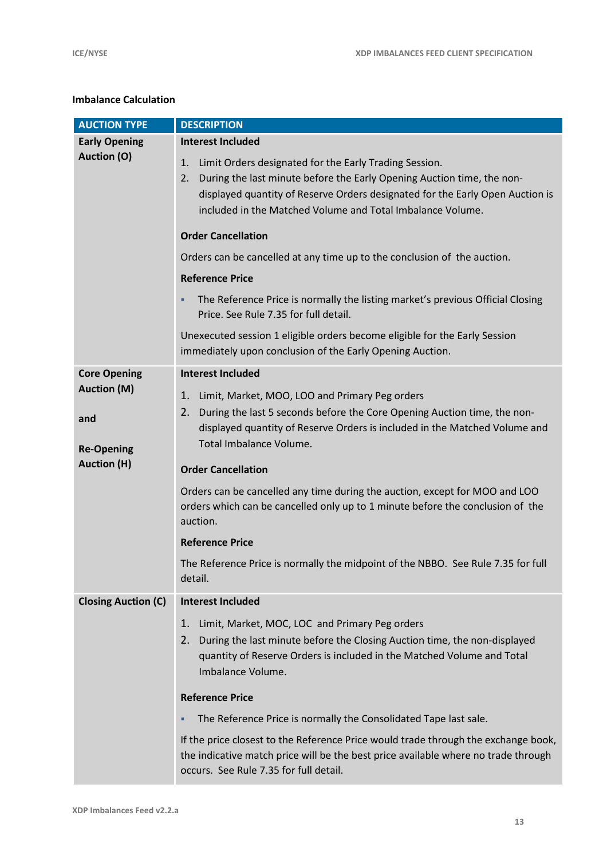#### **Imbalance Calculation**

| <b>AUCTION TYPE</b>        | <b>DESCRIPTION</b>                                                                                                                                                                                                                                                                                                                                                                                                             |  |  |  |  |  |
|----------------------------|--------------------------------------------------------------------------------------------------------------------------------------------------------------------------------------------------------------------------------------------------------------------------------------------------------------------------------------------------------------------------------------------------------------------------------|--|--|--|--|--|
| <b>Early Opening</b>       | <b>Interest Included</b>                                                                                                                                                                                                                                                                                                                                                                                                       |  |  |  |  |  |
| <b>Auction (O)</b>         | Limit Orders designated for the Early Trading Session.<br>1.<br>During the last minute before the Early Opening Auction time, the non-<br>2.<br>displayed quantity of Reserve Orders designated for the Early Open Auction is<br>included in the Matched Volume and Total Imbalance Volume.<br><b>Order Cancellation</b><br>Orders can be cancelled at any time up to the conclusion of the auction.<br><b>Reference Price</b> |  |  |  |  |  |
|                            | The Reference Price is normally the listing market's previous Official Closing<br>٠<br>Price. See Rule 7.35 for full detail.                                                                                                                                                                                                                                                                                                   |  |  |  |  |  |
|                            | Unexecuted session 1 eligible orders become eligible for the Early Session<br>immediately upon conclusion of the Early Opening Auction.                                                                                                                                                                                                                                                                                        |  |  |  |  |  |
| <b>Core Opening</b>        | <b>Interest Included</b>                                                                                                                                                                                                                                                                                                                                                                                                       |  |  |  |  |  |
| <b>Auction (M)</b>         | Limit, Market, MOO, LOO and Primary Peg orders<br>1.                                                                                                                                                                                                                                                                                                                                                                           |  |  |  |  |  |
| and<br><b>Re-Opening</b>   | During the last 5 seconds before the Core Opening Auction time, the non-<br>2.<br>displayed quantity of Reserve Orders is included in the Matched Volume and<br>Total Imbalance Volume.                                                                                                                                                                                                                                        |  |  |  |  |  |
| <b>Auction (H)</b>         | <b>Order Cancellation</b>                                                                                                                                                                                                                                                                                                                                                                                                      |  |  |  |  |  |
|                            | Orders can be cancelled any time during the auction, except for MOO and LOO<br>orders which can be cancelled only up to 1 minute before the conclusion of the<br>auction.                                                                                                                                                                                                                                                      |  |  |  |  |  |
|                            | <b>Reference Price</b>                                                                                                                                                                                                                                                                                                                                                                                                         |  |  |  |  |  |
|                            | The Reference Price is normally the midpoint of the NBBO. See Rule 7.35 for full<br>detail.                                                                                                                                                                                                                                                                                                                                    |  |  |  |  |  |
| <b>Closing Auction (C)</b> | <b>Interest Included</b>                                                                                                                                                                                                                                                                                                                                                                                                       |  |  |  |  |  |
|                            | 1.<br>Limit, Market, MOC, LOC and Primary Peg orders<br>During the last minute before the Closing Auction time, the non-displayed<br>2.<br>quantity of Reserve Orders is included in the Matched Volume and Total<br>Imbalance Volume.                                                                                                                                                                                         |  |  |  |  |  |
|                            | <b>Reference Price</b>                                                                                                                                                                                                                                                                                                                                                                                                         |  |  |  |  |  |
|                            | The Reference Price is normally the Consolidated Tape last sale.<br>٠                                                                                                                                                                                                                                                                                                                                                          |  |  |  |  |  |
|                            | If the price closest to the Reference Price would trade through the exchange book,<br>the indicative match price will be the best price available where no trade through<br>occurs. See Rule 7.35 for full detail.                                                                                                                                                                                                             |  |  |  |  |  |